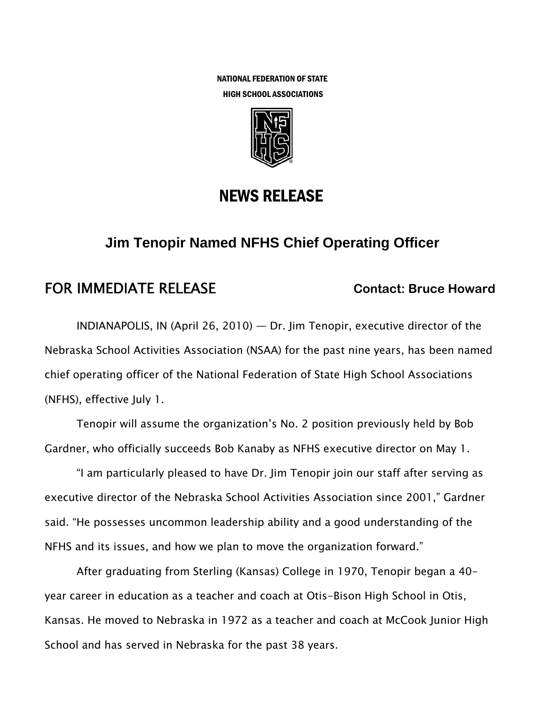NATIONAL FEDERATION OF STATE HIGH SCHOOL ASSOCIATIONS



## NEWS RELEASE

# **Jim Tenopir Named NFHS Chief Operating Officer**

## **FOR IMMEDIATE RELEASE Contact: Bruce Howard Contact: Bruce Howard**

INDIANAPOLIS, IN (April 26, 2010) — Dr. Jim Tenopir, executive director of the Nebraska School Activities Association (NSAA) for the past nine years, has been named chief operating officer of the National Federation of State High School Associations (NFHS), effective July 1.

Tenopir will assume the organization's No. 2 position previously held by Bob Gardner, who officially succeeds Bob Kanaby as NFHS executive director on May 1.

"I am particularly pleased to have Dr. Jim Tenopir join our staff after serving as executive director of the Nebraska School Activities Association since 2001," Gardner said. "He possesses uncommon leadership ability and a good understanding of the NFHS and its issues, and how we plan to move the organization forward."

After graduating from Sterling (Kansas) College in 1970, Tenopir began a 40 year career in education as a teacher and coach at Otis-Bison High School in Otis, Kansas. He moved to Nebraska in 1972 as a teacher and coach at McCook Junior High School and has served in Nebraska for the past 38 years.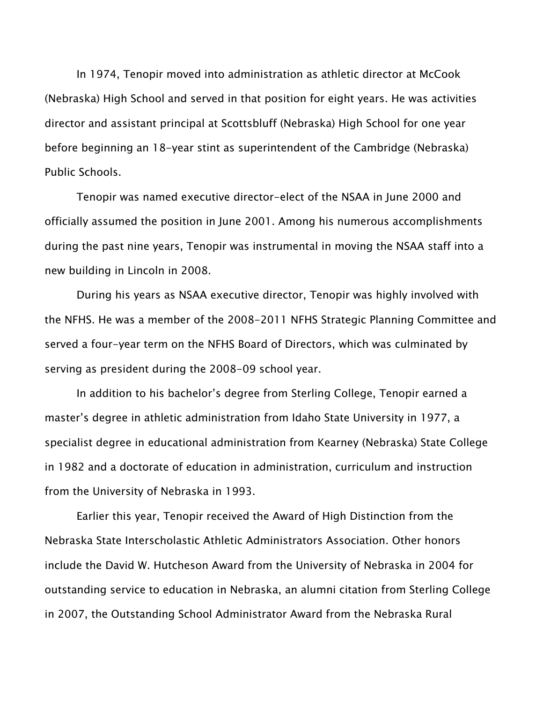In 1974, Tenopir moved into administration as athletic director at McCook (Nebraska) High School and served in that position for eight years. He was activities director and assistant principal at Scottsbluff (Nebraska) High School for one year before beginning an 18-year stint as superintendent of the Cambridge (Nebraska) Public Schools.

Tenopir was named executive director-elect of the NSAA in June 2000 and officially assumed the position in June 2001. Among his numerous accomplishments during the past nine years, Tenopir was instrumental in moving the NSAA staff into a new building in Lincoln in 2008.

During his years as NSAA executive director, Tenopir was highly involved with the NFHS. He was a member of the 2008-2011 NFHS Strategic Planning Committee and served a four-year term on the NFHS Board of Directors, which was culminated by serving as president during the 2008-09 school year.

In addition to his bachelor's degree from Sterling College, Tenopir earned a master's degree in athletic administration from Idaho State University in 1977, a specialist degree in educational administration from Kearney (Nebraska) State College in 1982 and a doctorate of education in administration, curriculum and instruction from the University of Nebraska in 1993.

Earlier this year, Tenopir received the Award of High Distinction from the Nebraska State Interscholastic Athletic Administrators Association. Other honors include the David W. Hutcheson Award from the University of Nebraska in 2004 for outstanding service to education in Nebraska, an alumni citation from Sterling College in 2007, the Outstanding School Administrator Award from the Nebraska Rural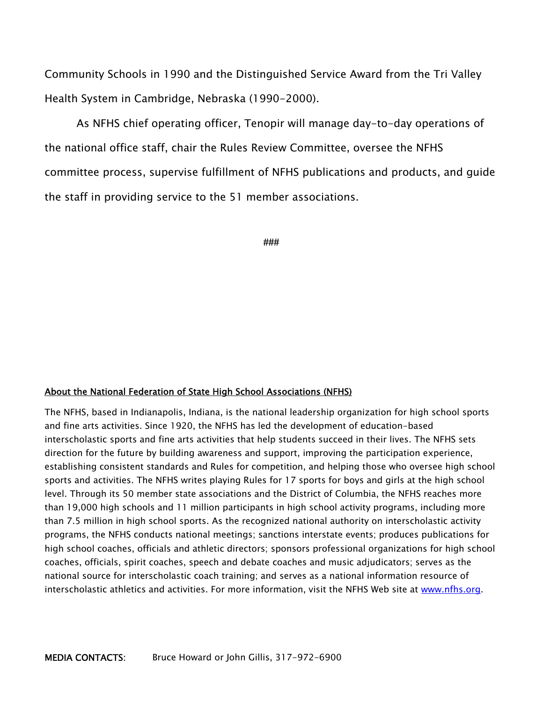Community Schools in 1990 and the Distinguished Service Award from the Tri Valley Health System in Cambridge, Nebraska (1990-2000).

As NFHS chief operating officer, Tenopir will manage day-to-day operations of the national office staff, chair the Rules Review Committee, oversee the NFHS committee process, supervise fulfillment of NFHS publications and products, and guide the staff in providing service to the 51 member associations.

**###** 

#### About the National Federation of State High School Associations (NFHS)

The NFHS, based in Indianapolis, Indiana, is the national leadership organization for high school sports and fine arts activities. Since 1920, the NFHS has led the development of education-based interscholastic sports and fine arts activities that help students succeed in their lives. The NFHS sets direction for the future by building awareness and support, improving the participation experience, establishing consistent standards and Rules for competition, and helping those who oversee high school sports and activities. The NFHS writes playing Rules for 17 sports for boys and girls at the high school level. Through its 50 member state associations and the District of Columbia, the NFHS reaches more than 19,000 high schools and 11 million participants in high school activity programs, including more than 7.5 million in high school sports. As the recognized national authority on interscholastic activity programs, the NFHS conducts national meetings; sanctions interstate events; produces publications for high school coaches, officials and athletic directors; sponsors professional organizations for high school coaches, officials, spirit coaches, speech and debate coaches and music adjudicators; serves as the national source for interscholastic coach training; and serves as a national information resource of interscholastic athletics and activities. For more information, visit the NFHS Web site at www.nfhs.org.